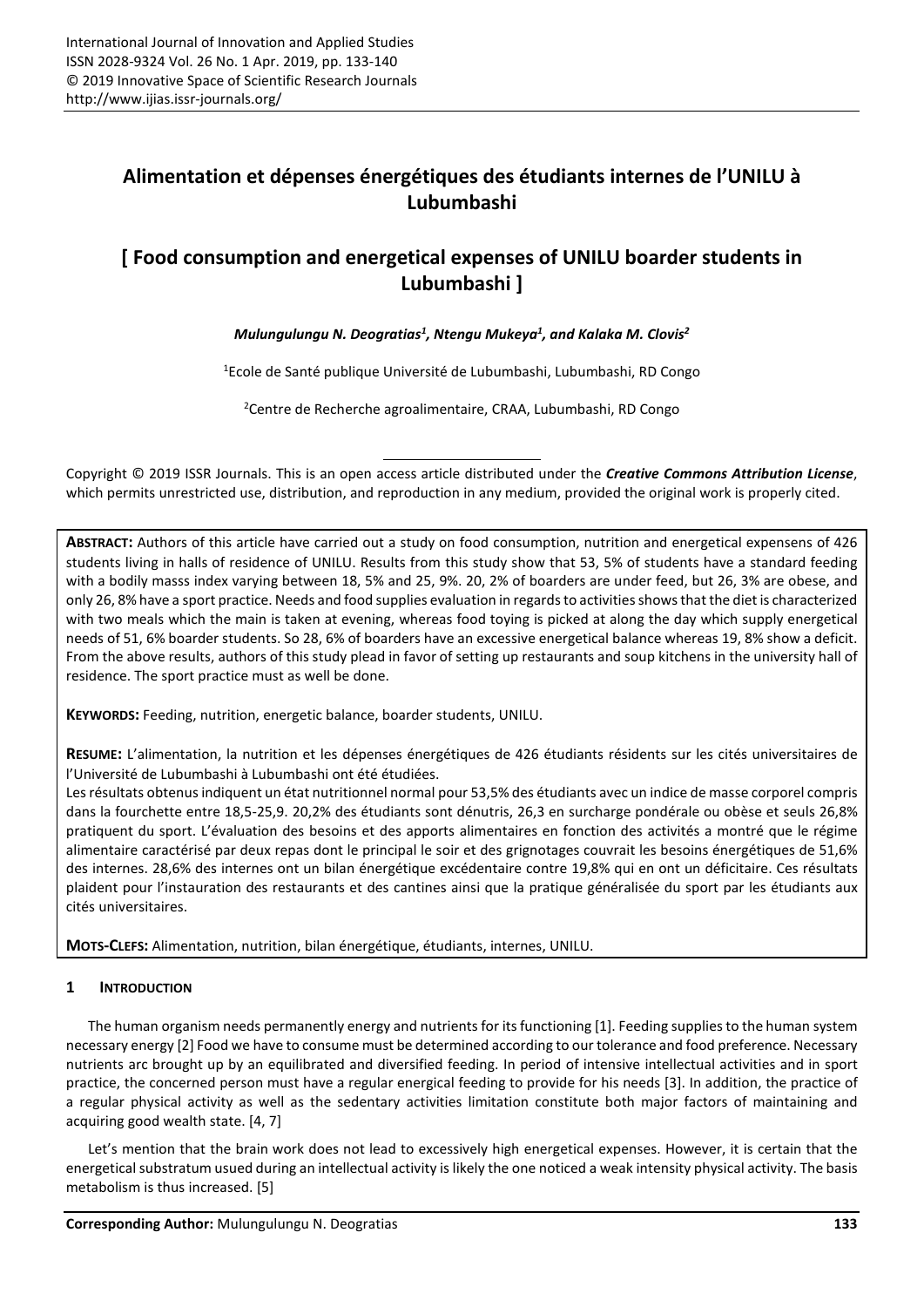# **Alimentation et dépenses énergétiques des étudiants internes de l'UNILU à Lubumbashi**

# **[ Food consumption and energetical expenses of UNILU boarder students in Lubumbashi ]**

# *Mulungulungu N. Deogratias<sup>1</sup> , Ntengu Mukeya<sup>1</sup> , and Kalaka M. Clovis<sup>2</sup>*

<sup>1</sup>Ecole de Santé publique Université de Lubumbashi, Lubumbashi, RD Congo

<sup>2</sup>Centre de Recherche agroalimentaire, CRAA, Lubumbashi, RD Congo

Copyright © 2019 ISSR Journals. This is an open access article distributed under the *Creative Commons Attribution License*, which permits unrestricted use, distribution, and reproduction in any medium, provided the original work is properly cited.

**ABSTRACT:** Authors of this article have carried out a study on food consumption, nutrition and energetical expensens of 426 students living in halls of residence of UNILU. Results from this study show that 53, 5% of students have a standard feeding with a bodily masss index varying between 18, 5% and 25, 9%. 20, 2% of boarders are under feed, but 26, 3% are obese, and only 26, 8% have a sport practice. Needs and food supplies evaluation in regards to activities shows that the diet is characterized with two meals which the main is taken at evening, whereas food toying is picked at along the day which supply energetical needs of 51, 6% boarder students. So 28, 6% of boarders have an excessive energetical balance whereas 19, 8% show a deficit. From the above results, authors of this study plead in favor of setting up restaurants and soup kitchens in the university hall of residence. The sport practice must as well be done.

**KEYWORDS:** Feeding, nutrition, energetic balance, boarder students, UNILU.

**RESUME:** L'alimentation, la nutrition et les dépenses énergétiques de 426 étudiants résidents sur les cités universitaires de l'Université de Lubumbashi à Lubumbashi ont été étudiées.

Les résultats obtenus indiquent un état nutritionnel normal pour 53,5% des étudiants avec un indice de masse corporel compris dans la fourchette entre 18,5-25,9. 20,2% des étudiants sont dénutris, 26,3 en surcharge pondérale ou obèse et seuls 26,8% pratiquent du sport. L'évaluation des besoins et des apports alimentaires en fonction des activités a montré que le régime alimentaire caractérisé par deux repas dont le principal le soir et des grignotages couvrait les besoins énergétiques de 51,6% des internes. 28,6% des internes ont un bilan énergétique excédentaire contre 19,8% qui en ont un déficitaire. Ces résultats plaident pour l'instauration des restaurants et des cantines ainsi que la pratique généralisée du sport par les étudiants aux cités universitaires.

**MOTS-CLEFS:** Alimentation, nutrition, bilan énergétique, étudiants, internes, UNILU.

# **1 INTRODUCTION**

The human organism needs permanently energy and nutrients for its functioning [1]. Feeding supplies to the human system necessary energy [2] Food we have to consume must be determined according to our tolerance and food preference. Necessary nutrients arc brought up by an equilibrated and diversified feeding. In period of intensive intellectual activities and in sport practice, the concerned person must have a regular energical feeding to provide for his needs [3]. In addition, the practice of a regular physical activity as well as the sedentary activities limitation constitute both major factors of maintaining and acquiring good wealth state. [4, 7]

Let's mention that the brain work does not lead to excessively high energetical expenses. However, it is certain that the energetical substratum usued during an intellectual activity is likely the one noticed a weak intensity physical activity. The basis metabolism is thus increased. [5]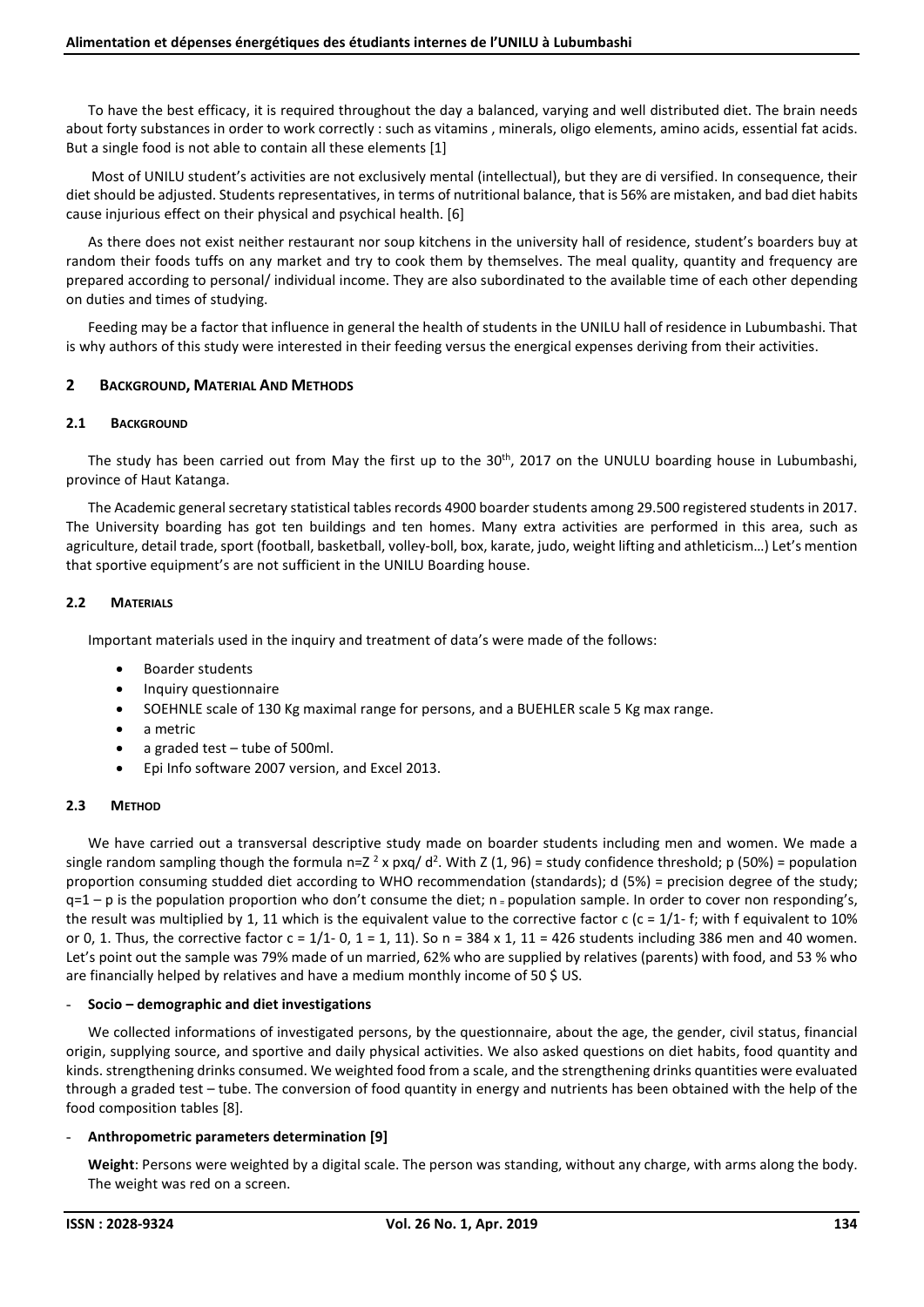To have the best efficacy, it is required throughout the day a balanced, varying and well distributed diet. The brain needs about forty substances in order to work correctly : such as vitamins , minerals, oligo elements, amino acids, essential fat acids. But a single food is not able to contain all these elements [1]

 Most of UNILU student's activities are not exclusively mental (intellectual), but they are di versified. In consequence, their diet should be adjusted. Students representatives, in terms of nutritional balance, that is 56% are mistaken, and bad diet habits cause injurious effect on their physical and psychical health. [6]

As there does not exist neither restaurant nor soup kitchens in the university hall of residence, student's boarders buy at random their foods tuffs on any market and try to cook them by themselves. The meal quality, quantity and frequency are prepared according to personal/ individual income. They are also subordinated to the available time of each other depending on duties and times of studying.

Feeding may be a factor that influence in general the health of students in the UNILU hall of residence in Lubumbashi. That is why authors of this study were interested in their feeding versus the energical expenses deriving from their activities.

# **2 BACKGROUND, MATERIAL AND METHODS**

## **2.1 BACKGROUND**

The study has been carried out from May the first up to the 30<sup>th</sup>, 2017 on the UNULU boarding house in Lubumbashi, province of Haut Katanga.

The Academic general secretary statistical tables records 4900 boarder students among 29.500 registered students in 2017. The University boarding has got ten buildings and ten homes. Many extra activities are performed in this area, such as agriculture, detail trade, sport (football, basketball, volley-boll, box, karate, judo, weight lifting and athleticism…) Let's mention that sportive equipment's are not sufficient in the UNILU Boarding house.

# **2.2 MATERIALS**

Important materials used in the inquiry and treatment of data's were made of the follows:

- Boarder students
- Inquiry questionnaire
- SOEHNLE scale of 130 Kg maximal range for persons, and a BUEHLER scale 5 Kg max range.
- a metric
- a graded test tube of 500ml.
- Epi Info software 2007 version, and Excel 2013.

## **2.3 METHOD**

We have carried out a transversal descriptive study made on boarder students including men and women. We made a single random sampling though the formula n=Z<sup>2</sup> x pxq/d<sup>2</sup>. With Z (1, 96) = study confidence threshold; p (50%) = population proportion consuming studded diet according to WHO recommendation (standards); d (5%) = precision degree of the study;  $q=1-p$  is the population proportion who don't consume the diet;  $n =$  population sample. In order to cover non responding's, the result was multiplied by 1, 11 which is the equivalent value to the corrective factor c (c =  $1/1$ - f; with f equivalent to 10% or 0, 1. Thus, the corrective factor  $c = 1/1$ - 0,  $1 = 1$ , 11). So n = 384 x 1, 11 = 426 students including 386 men and 40 women. Let's point out the sample was 79% made of un married, 62% who are supplied by relatives (parents) with food, and 53 % who are financially helped by relatives and have a medium monthly income of 50 \$ US.

## - **Socio – demographic and diet investigations**

We collected informations of investigated persons, by the questionnaire, about the age, the gender, civil status, financial origin, supplying source, and sportive and daily physical activities. We also asked questions on diet habits, food quantity and kinds. strengthening drinks consumed. We weighted food from a scale, and the strengthening drinks quantities were evaluated through a graded test – tube. The conversion of food quantity in energy and nutrients has been obtained with the help of the food composition tables [8].

## - **Anthropometric parameters determination [9]**

**Weight**: Persons were weighted by a digital scale. The person was standing, without any charge, with arms along the body. The weight was red on a screen.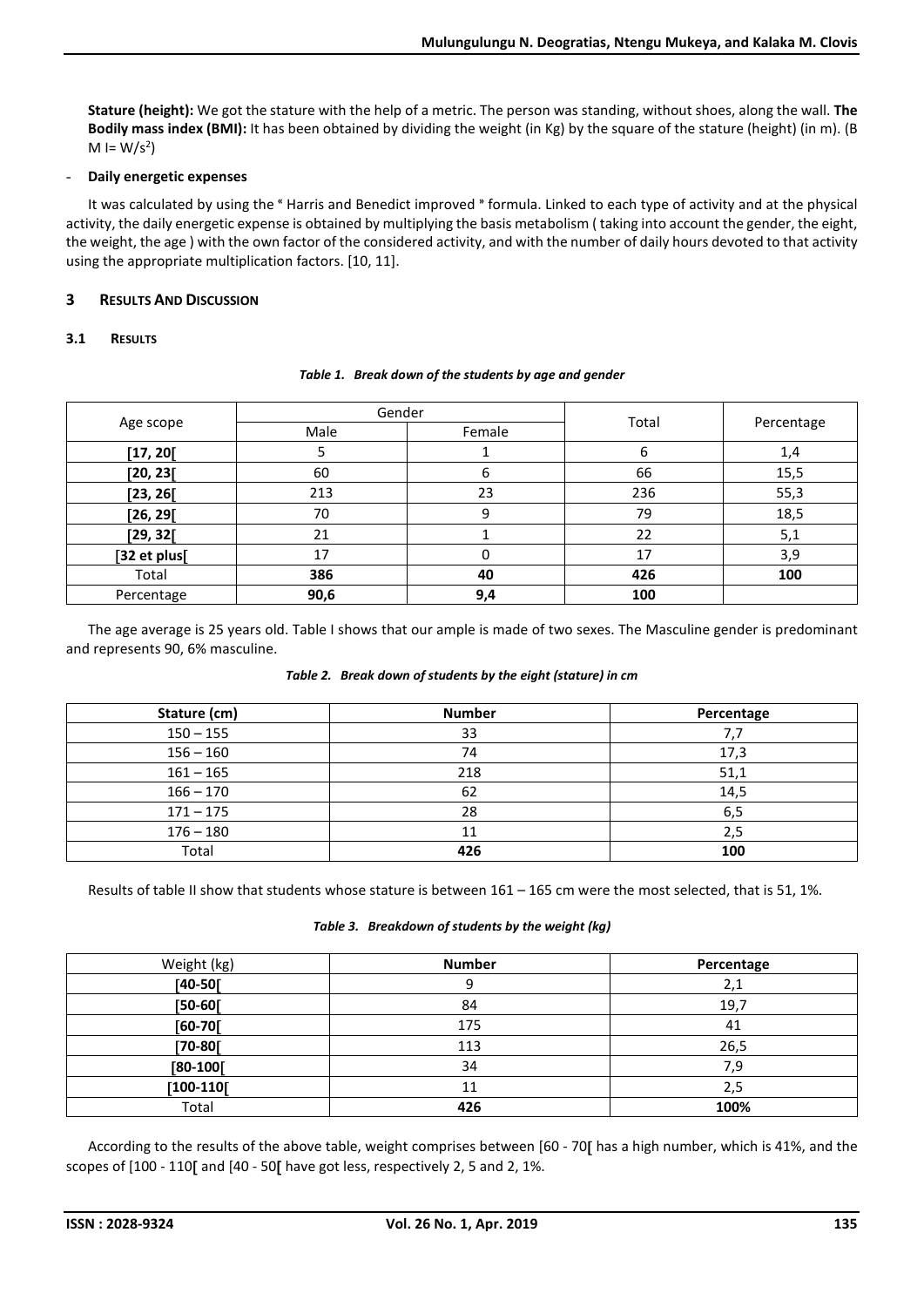**Stature (height):** We got the stature with the help of a metric. The person was standing, without shoes, along the wall. **The Bodily mass index (BMI):** It has been obtained by dividing the weight (in Kg) by the square of the stature (height) (in m). (B  $M = W/s^2$ 

# - **Daily energetic expenses**

It was calculated by using the "Harris and Benedict improved "formula. Linked to each type of activity and at the physical activity, the daily energetic expense is obtained by multiplying the basis metabolism ( taking into account the gender, the eight, the weight, the age ) with the own factor of the considered activity, and with the number of daily hours devoted to that activity using the appropriate multiplication factors. [10, 11].

# **3 RESULTS AND DISCUSSION**

# **3.1 RESULTS**

|              |      | Gender |       |            |
|--------------|------|--------|-------|------------|
| Age scope    | Male | Female | Total | Percentage |
| [17, 20]     |      |        | 6     | 1,4        |
| [20, 23[     | 60   | 6      | 66    | 15,5       |
| [23, 26[     | 213  | 23     | 236   | 55,3       |
| [26, 29[     | 70   | 9      | 79    | 18,5       |
| [29, 32[     | 21   |        | 22    | 5,1        |
| [32 et plus[ | 17   |        | 17    | 3,9        |
| Total        | 386  | 40     | 426   | 100        |
| Percentage   | 90,6 | 9,4    | 100   |            |

#### *Table 1. Break down of the students by age and gender*

The age average is 25 years old. Table I shows that our ample is made of two sexes. The Masculine gender is predominant and represents 90, 6% masculine.

## *Table 2. Break down of students by the eight (stature) in cm*

| Stature (cm) | <b>Number</b> | Percentage |
|--------------|---------------|------------|
| $150 - 155$  | 33            |            |
| $156 - 160$  | 74            | 17,3       |
| $161 - 165$  | 218           | 51,1       |
| $166 - 170$  | 62            | 14,5       |
| $171 - 175$  | 28            | 6,5        |
| $176 - 180$  | 11            | 2,5        |
| Total        | 426           | 100        |

Results of table II show that students whose stature is between 161 – 165 cm were the most selected, that is 51, 1%.

#### *Table 3. Breakdown of students by the weight (kg)*

| Weight (kg)  | <b>Number</b> | Percentage |
|--------------|---------------|------------|
| $[40 - 50]$  | 9             | 2,1        |
| $[50-60]$    | 84            | 19,7       |
| $[60-70]$    | 175           | 41         |
| $[70-80]$    | 113           | 26,5       |
| $[80 - 100]$ | 34            | 7,9        |
| $[100-110]$  | 11            | 2,5        |
| Total        | 426           | 100%       |

According to the results of the above table, weight comprises between [60 - 70] has a high number, which is 41%, and the scopes of  $[100 - 110]$  and  $[40 - 50]$  have got less, respectively 2, 5 and 2, 1%.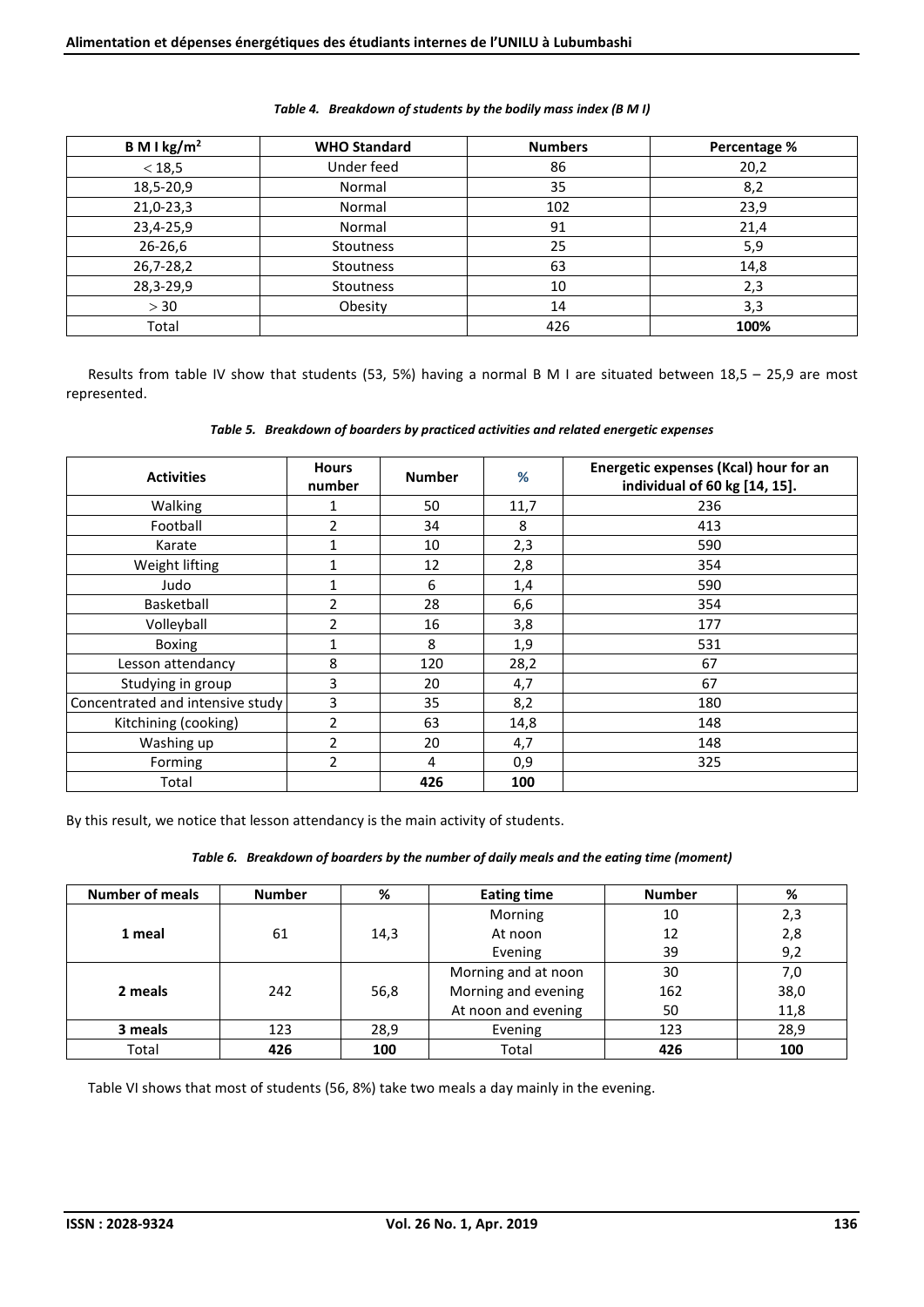| B M I kg/m <sup>2</sup> | <b>WHO Standard</b> | <b>Numbers</b> | Percentage % |
|-------------------------|---------------------|----------------|--------------|
| < 18, 5                 | Under feed          | 86             | 20,2         |
| 18,5-20,9               | Normal              | 35             | 8,2          |
| 21,0-23,3               | Normal              | 102            | 23,9         |
| 23,4-25,9               | Normal              | 91             | 21,4         |
| 26-26,6                 | Stoutness           | 25             | 5,9          |
| 26,7-28,2               | Stoutness           | 63             | 14,8         |
| 28,3-29,9               | Stoutness           | 10             | 2,3          |
| > 30                    | Obesity             | 14             | 3,3          |
| Total                   |                     | 426            | 100%         |

# *Table 4. Breakdown of students by the bodily mass index (B M I)*

Results from table IV show that students (53, 5%) having a normal B M I are situated between 18,5 – 25,9 are most represented.

|  |  |  | Table 5. Breakdown of boarders by practiced activities and related energetic expenses |
|--|--|--|---------------------------------------------------------------------------------------|
|--|--|--|---------------------------------------------------------------------------------------|

| <b>Activities</b>                | <b>Hours</b><br>number | <b>Number</b> | %    | Energetic expenses (Kcal) hour for an<br>individual of 60 kg [14, 15]. |
|----------------------------------|------------------------|---------------|------|------------------------------------------------------------------------|
| Walking                          | 1                      | 50            | 11,7 | 236                                                                    |
| Football                         | 2                      | 34            | 8    | 413                                                                    |
| Karate                           |                        | 10            | 2,3  | 590                                                                    |
| Weight lifting                   |                        | 12            | 2,8  | 354                                                                    |
| Judo                             | 1                      | 6             | 1,4  | 590                                                                    |
| Basketball                       | $\overline{2}$         | 28            | 6,6  | 354                                                                    |
| Volleyball                       | $\overline{2}$         | 16            | 3,8  | 177                                                                    |
| <b>Boxing</b>                    |                        | 8             | 1,9  | 531                                                                    |
| Lesson attendancy                | 8                      | 120           | 28,2 | 67                                                                     |
| Studying in group                | 3                      | 20            | 4,7  | 67                                                                     |
| Concentrated and intensive study | 3                      | 35            | 8,2  | 180                                                                    |
| Kitchining (cooking)             | 2                      | 63            | 14,8 | 148                                                                    |
| Washing up                       | $\overline{2}$         | 20            | 4,7  | 148                                                                    |
| Forming                          | $\overline{2}$         | 4             | 0,9  | 325                                                                    |
| Total                            |                        | 426           | 100  |                                                                        |

By this result, we notice that lesson attendancy is the main activity of students.

#### *Table 6. Breakdown of boarders by the number of daily meals and the eating time (moment)*

| <b>Number of meals</b> | <b>Number</b> | %    | <b>Eating time</b>  | <b>Number</b> | %    |
|------------------------|---------------|------|---------------------|---------------|------|
|                        |               |      | Morning             | 10            | 2,3  |
| 1 meal                 | 61            | 14,3 | At noon             | 12            | 2,8  |
|                        |               |      | Evening             | 39            | 9,2  |
|                        |               |      | Morning and at noon | 30            | 7,0  |
| 2 meals                | 242           | 56,8 | Morning and evening | 162           | 38,0 |
|                        |               |      | At noon and evening | 50            | 11,8 |
| 3 meals                | 123           | 28,9 | Evening             | 123           | 28,9 |
| Total                  | 426           | 100  | Total               | 426           | 100  |

Table VI shows that most of students (56, 8%) take two meals a day mainly in the evening.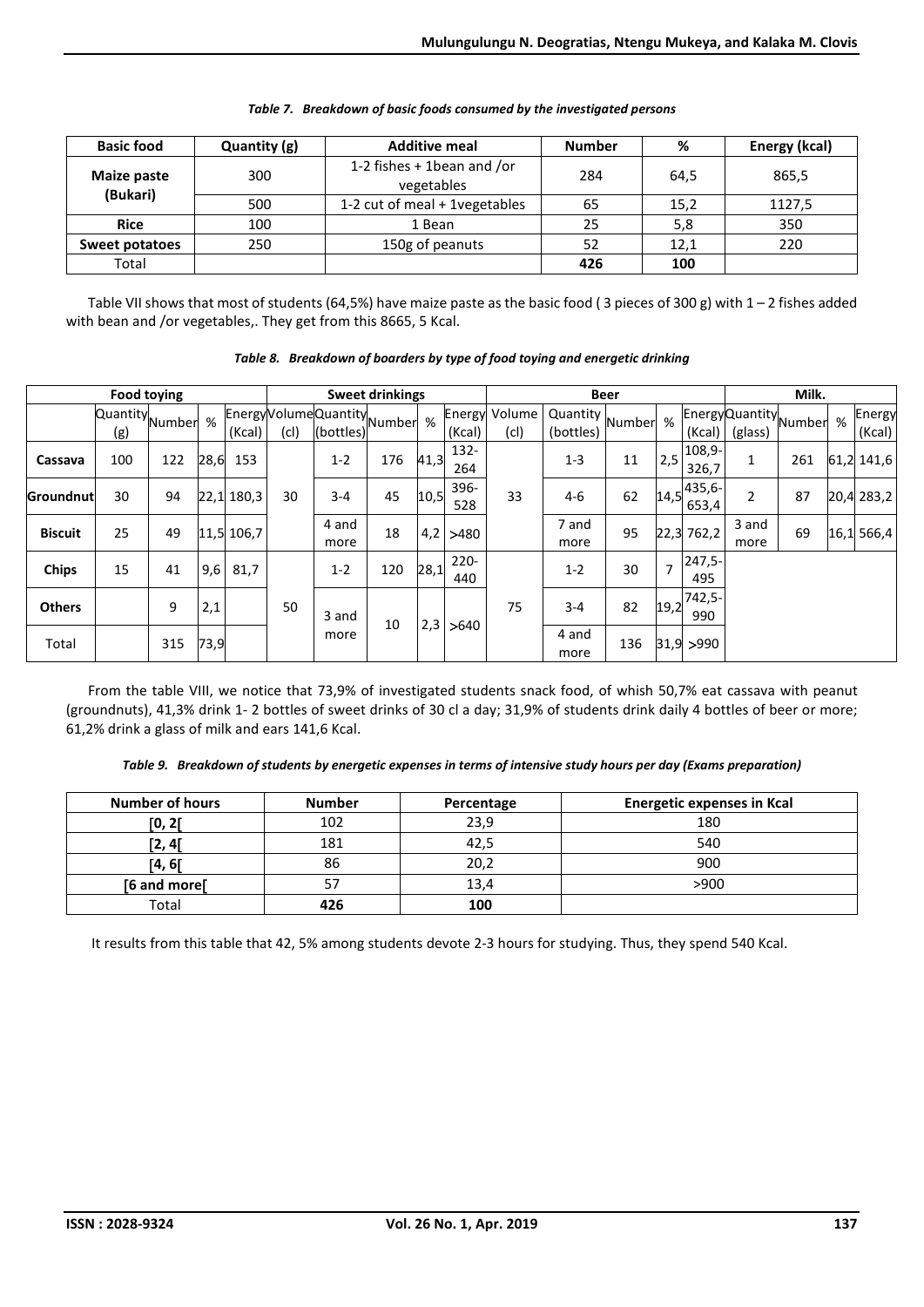| <b>Basic food</b>     | Quantity (g)                         | <b>Additive meal</b>                       | <b>Number</b> | %    | Energy (kcal) |
|-----------------------|--------------------------------------|--------------------------------------------|---------------|------|---------------|
| Maize paste           | 300                                  | 1-2 fishes $+$ 1bean and /or<br>vegetables | 284           | 64.5 | 865,5         |
| (Bukari)              | 1-2 cut of meal + 1vegetables<br>500 |                                            | 65            | 15,2 | 1127,5        |
| <b>Rice</b>           | 100                                  |                                            | 25            | 5,8  | 350           |
| 250<br>Sweet potatoes |                                      | 150g of peanuts                            | 52            | 12,1 | 220           |
| Total                 |                                      |                                            | 426           | 100  |               |

|  | Table 7. Breakdown of basic foods consumed by the investigated persons |  |  |
|--|------------------------------------------------------------------------|--|--|

Table VII shows that most of students (64,5%) have maize paste as the basic food ( 3 pieces of 300 g) with 1 – 2 fishes added with bean and /or vegetables,. They get from this 8665, 5 Kcal.

|                | <b>Food toying</b>         |     |      |            |      | <b>Sweet drinkings</b>                        |     |           | <b>Beer</b>    |                              |                                         |     | Milk. |                   |                                  |     |   |                  |
|----------------|----------------------------|-----|------|------------|------|-----------------------------------------------|-----|-----------|----------------|------------------------------|-----------------------------------------|-----|-------|-------------------|----------------------------------|-----|---|------------------|
|                | Quantity Number % "<br>(g) |     |      | (Kcal)     | (cl) | Energy Volume Quantity Number %"<br>(bottles) |     |           | (Kcal)         | <b>Energy Volume</b><br>(cl) | $\sqrt{2}$ Quantity Number<br>(bottles) |     | %     | (Kcal)            | EnergyQuantity Number<br>(glass) |     | % | Energy<br>(Kcal) |
| Cassava        | 100                        | 122 | 28,6 | 153        |      | $1 - 2$                                       | 176 | 41,3      | 132-<br>264    |                              | $1 - 3$                                 | 11  | 2,5   | 108,9-<br>326,7   | 1                                | 261 |   | 61,2 141,6       |
| Groundnut      | 30                         | 94  |      | 22,1 180,3 | 30   | $3 - 4$                                       | 45  | 10,5      | 396-<br>528    | 33                           | $4-6$                                   | 62  | 14,5  | $435,6-$<br>653,4 | $\overline{2}$                   | 87  |   | 20,4 283,2       |
| <b>Biscuit</b> | 25                         | 49  |      | 11,5 106,7 |      | 4 and<br>more                                 | 18  | 4,2       | >480           |                              | 7 and<br>more                           | 95  |       | $22,3$ 762,2      | 3 and<br>more                    | 69  |   | 16,1 566,4       |
| <b>Chips</b>   | 15                         | 41  | 9,6  | 81,7       |      | $1 - 2$                                       | 120 | 28,1      | $220 -$<br>440 |                              | $1 - 2$                                 | 30  | 7     | $247,5-$<br>495   |                                  |     |   |                  |
| <b>Others</b>  |                            | 9   | 2,1  |            | 50   | 3 and                                         |     |           | >640           | 75                           | $3 - 4$                                 | 82  | 19,2  | 742,5-<br>990     |                                  |     |   |                  |
| Total          |                            | 315 | 73,9 |            |      | more                                          |     | 10<br>2,3 |                |                              | 4 and<br>more                           | 136 |       | 31,9  > 990       |                                  |     |   |                  |

*Table 8. Breakdown of boarders by type of food toying and energetic drinking* 

From the table VIII, we notice that 73,9% of investigated students snack food, of whish 50,7% eat cassava with peanut (groundnuts), 41,3% drink 1- 2 bottles of sweet drinks of 30 cl a day; 31,9% of students drink daily 4 bottles of beer or more; 61,2% drink a glass of milk and ears 141,6 Kcal.

*Table 9. Breakdown of students by energetic expenses in terms of intensive study hours per day (Exams preparation)* 

| <b>Number of hours</b> | <b>Number</b> | Percentage | <b>Energetic expenses in Kcal</b> |
|------------------------|---------------|------------|-----------------------------------|
| [0, 2[                 | 102           | 23,9       | 180                               |
| [2, 4[                 | 181           | 42,5       | 540                               |
| [4, 6[                 | 86            | 20,2       | 900                               |
| [6 and more]           |               | 13,4       | >900                              |
| Total                  | 426           | 100        |                                   |

It results from this table that 42, 5% among students devote 2-3 hours for studying. Thus, they spend 540 Kcal.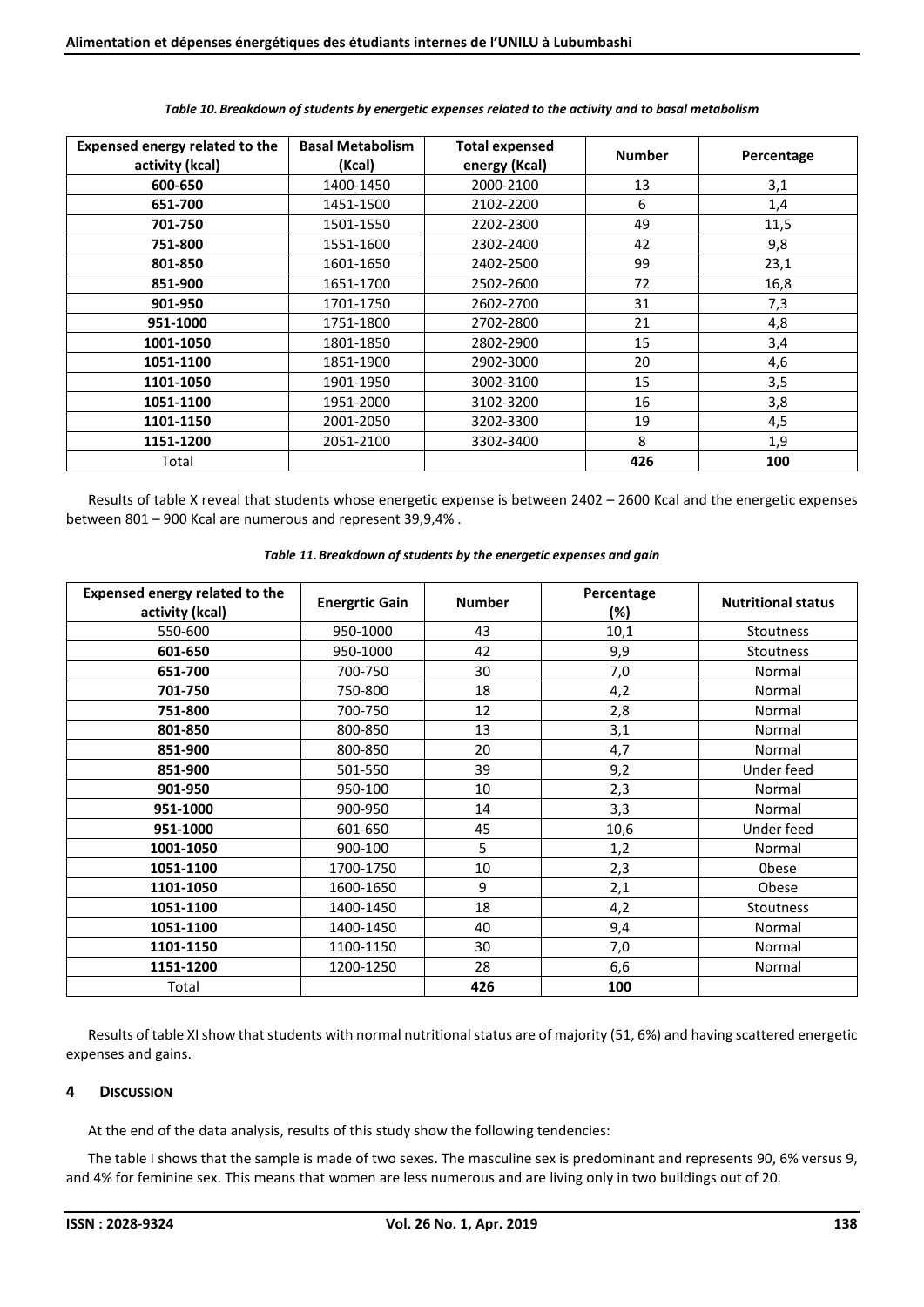| Expensed energy related to the | <b>Basal Metabolism</b> | <b>Total expensed</b> | <b>Number</b> | Percentage |
|--------------------------------|-------------------------|-----------------------|---------------|------------|
| activity (kcal)                | (Kcal)                  | energy (Kcal)         |               |            |
| 600-650                        | 1400-1450               | 2000-2100             | 13            | 3,1        |
| 651-700                        | 1451-1500               | 2102-2200             | 6             | 1,4        |
| 701-750                        | 1501-1550               | 2202-2300             | 49            | 11,5       |
| 751-800                        | 1551-1600               | 2302-2400             | 42            | 9,8        |
| 801-850                        | 1601-1650               | 2402-2500             | 99            | 23,1       |
| 851-900                        | 1651-1700               | 2502-2600             | 72            | 16,8       |
| 901-950                        | 1701-1750               | 2602-2700             | 31            | 7,3        |
| 951-1000                       | 1751-1800               | 2702-2800             | 21            | 4,8        |
| 1001-1050                      | 1801-1850               | 2802-2900             | 15            | 3,4        |
| 1051-1100                      | 1851-1900               | 2902-3000             | 20            | 4,6        |
| 1101-1050                      | 1901-1950               | 3002-3100             | 15            | 3,5        |
| 1051-1100                      | 1951-2000               | 3102-3200             | 16            | 3,8        |
| 1101-1150                      | 2001-2050               | 3202-3300             | 19            | 4,5        |
| 1151-1200                      | 2051-2100               | 3302-3400             | 8             | 1,9        |
| Total                          |                         |                       | 426           | 100        |

#### *Table 10.Breakdown of students by energetic expenses related to the activity and to basal metabolism*

Results of table X reveal that students whose energetic expense is between 2402 – 2600 Kcal and the energetic expenses between 801 – 900 Kcal are numerous and represent 39,9,4% .

#### *Table 11.Breakdown of students by the energetic expenses and gain*

| Expensed energy related to the<br>activity (kcal) | <b>Energrtic Gain</b> | <b>Number</b> | Percentage<br>(%) | <b>Nutritional status</b> |
|---------------------------------------------------|-----------------------|---------------|-------------------|---------------------------|
| 550-600                                           | 950-1000              | 43            | 10,1              | <b>Stoutness</b>          |
| 601-650                                           | 950-1000              | 42            | 9,9               | Stoutness                 |
| 651-700                                           | 700-750               | 30            | 7,0               | Normal                    |
| 701-750                                           | 750-800               | 18            | 4,2               | Normal                    |
| 751-800                                           | 700-750               | 12            | 2,8               | Normal                    |
| 801-850                                           | 800-850               | 13            | 3,1               | Normal                    |
| 851-900                                           | 800-850               | 20            | 4,7               | Normal                    |
| 851-900                                           | 501-550               | 39            | 9,2               | Under feed                |
| 901-950                                           | 950-100               | 10            | 2,3               | Normal                    |
| 951-1000                                          | 900-950               | 14            | 3,3               | Normal                    |
| 951-1000                                          | 601-650               | 45            | 10,6              | Under feed                |
| 1001-1050                                         | 900-100               | 5             | 1,2               | Normal                    |
| 1051-1100                                         | 1700-1750             | 10            | 2,3               | <b>Obese</b>              |
| 1101-1050                                         | 1600-1650             | 9             | 2,1               | Obese                     |
| 1051-1100                                         | 1400-1450             | 18            | 4,2               | Stoutness                 |
| 1051-1100                                         | 1400-1450             | 40            | 9,4               | Normal                    |
| 1101-1150                                         | 1100-1150             | 30            | 7,0               | Normal                    |
| 1151-1200                                         | 1200-1250             | 28            | 6,6               | Normal                    |
| Total                                             |                       | 426           | 100               |                           |

Results of table XI show that students with normal nutritional status are of majority (51, 6%) and having scattered energetic expenses and gains.

## **4 DISCUSSION**

At the end of the data analysis, results of this study show the following tendencies:

The table I shows that the sample is made of two sexes. The masculine sex is predominant and represents 90, 6% versus 9, and 4% for feminine sex. This means that women are less numerous and are living only in two buildings out of 20.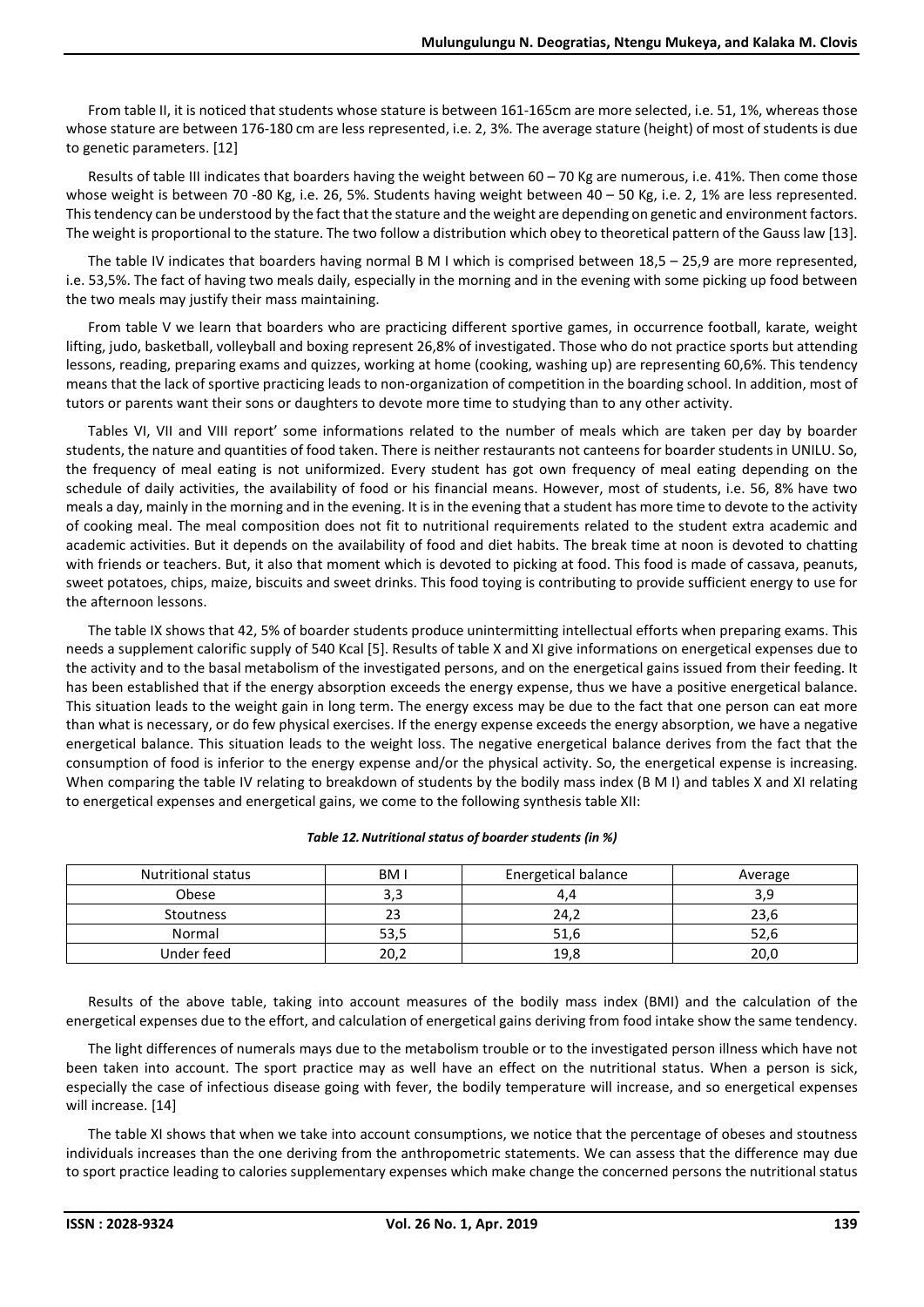From table II, it is noticed that students whose stature is between 161-165cm are more selected, i.e. 51, 1%, whereas those whose stature are between 176-180 cm are less represented, i.e. 2, 3%. The average stature (height) of most of students is due to genetic parameters. [12]

Results of table III indicates that boarders having the weight between 60 – 70 Kg are numerous, i.e. 41%. Then come those whose weight is between 70 -80 Kg, i.e. 26, 5%. Students having weight between 40 – 50 Kg, i.e. 2, 1% are less represented. This tendency can be understood by the fact that the stature and the weight are depending on genetic and environment factors. The weight is proportional to the stature. The two follow a distribution which obey to theoretical pattern of the Gauss law [13].

The table IV indicates that boarders having normal B M I which is comprised between 18,5 – 25,9 are more represented, i.e. 53,5%. The fact of having two meals daily, especially in the morning and in the evening with some picking up food between the two meals may justify their mass maintaining.

From table V we learn that boarders who are practicing different sportive games, in occurrence football, karate, weight lifting, judo, basketball, volleyball and boxing represent 26,8% of investigated. Those who do not practice sports but attending lessons, reading, preparing exams and quizzes, working at home (cooking, washing up) are representing 60,6%. This tendency means that the lack of sportive practicing leads to non-organization of competition in the boarding school. In addition, most of tutors or parents want their sons or daughters to devote more time to studying than to any other activity.

Tables VI, VII and VIII report' some informations related to the number of meals which are taken per day by boarder students, the nature and quantities of food taken. There is neither restaurants not canteens for boarder students in UNILU. So, the frequency of meal eating is not uniformized. Every student has got own frequency of meal eating depending on the schedule of daily activities, the availability of food or his financial means. However, most of students, i.e. 56, 8% have two meals a day, mainly in the morning and in the evening. It is in the evening that a student has more time to devote to the activity of cooking meal. The meal composition does not fit to nutritional requirements related to the student extra academic and academic activities. But it depends on the availability of food and diet habits. The break time at noon is devoted to chatting with friends or teachers. But, it also that moment which is devoted to picking at food. This food is made of cassava, peanuts, sweet potatoes, chips, maize, biscuits and sweet drinks. This food toying is contributing to provide sufficient energy to use for the afternoon lessons.

The table IX shows that 42, 5% of boarder students produce unintermitting intellectual efforts when preparing exams. This needs a supplement calorific supply of 540 Kcal [5]. Results of table X and XI give informations on energetical expenses due to the activity and to the basal metabolism of the investigated persons, and on the energetical gains issued from their feeding. It has been established that if the energy absorption exceeds the energy expense, thus we have a positive energetical balance. This situation leads to the weight gain in long term. The energy excess may be due to the fact that one person can eat more than what is necessary, or do few physical exercises. If the energy expense exceeds the energy absorption, we have a negative energetical balance. This situation leads to the weight loss. The negative energetical balance derives from the fact that the consumption of food is inferior to the energy expense and/or the physical activity. So, the energetical expense is increasing. When comparing the table IV relating to breakdown of students by the bodily mass index (B M I) and tables X and XI relating to energetical expenses and energetical gains, we come to the following synthesis table XII:

#### *Table 12.Nutritional status of boarder students (in %)*

| <b>Nutritional status</b> | BM I         | Energetical balance | Average |
|---------------------------|--------------|---------------------|---------|
| Obese                     | 3,3          |                     | 3,9     |
| Stoutness                 | $\sim$<br>23 | 24.2                | 23,6    |
| Normal                    | 53,5         | 51,6                | 52,6    |
| Under feed                | 20,2         | 19,8                | 20,0    |

Results of the above table, taking into account measures of the bodily mass index (BMI) and the calculation of the energetical expenses due to the effort, and calculation of energetical gains deriving from food intake show the same tendency.

The light differences of numerals mays due to the metabolism trouble or to the investigated person illness which have not been taken into account. The sport practice may as well have an effect on the nutritional status. When a person is sick, especially the case of infectious disease going with fever, the bodily temperature will increase, and so energetical expenses will increase. [14]

The table XI shows that when we take into account consumptions, we notice that the percentage of obeses and stoutness individuals increases than the one deriving from the anthropometric statements. We can assess that the difference may due to sport practice leading to calories supplementary expenses which make change the concerned persons the nutritional status